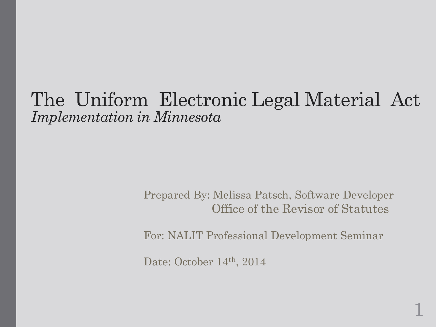#### The Uniform Electronic Legal Material Act *Implementation in Minnesota*

Prepared By: Melissa Patsch, Software Developer Office of the Revisor of Statutes

For: NALIT Professional Development Seminar

1

Date: October 14<sup>th</sup>, 2014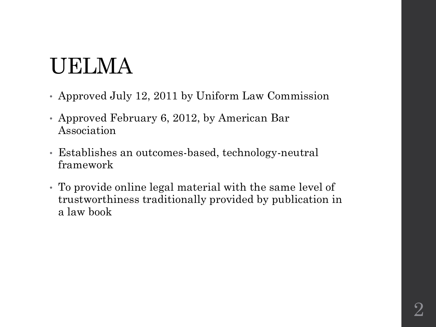### UELMA

- Approved July 12, 2011 by Uniform Law Commission
- Approved February 6, 2012, by American Bar Association
- Establishes an outcomes-based, technology-neutral framework
- To provide online legal material with the same level of trustworthiness traditionally provided by publication in a law book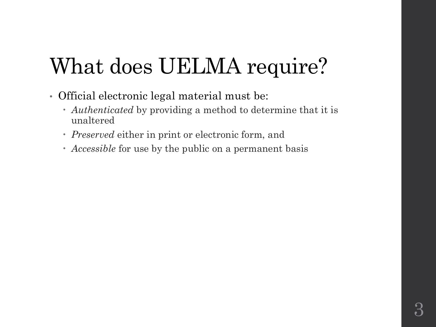## What does UELMA require?

- Official electronic legal material must be:
	- *Authenticated* by providing a method to determine that it is unaltered
	- *Preserved* either in print or electronic form, and
	- *Accessible* for use by the public on a permanent basis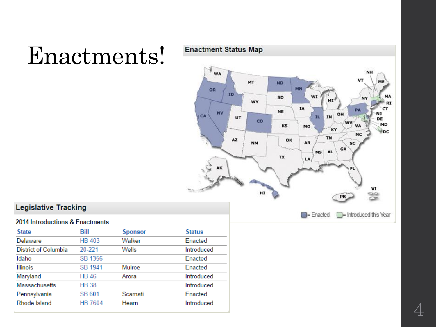## Enactments!



#### **Legislative Tracking**

#### 2014 Introductions & Enactments

| <b>State</b>                | Bill           | <b>Sponsor</b> | <b>Status</b> |
|-----------------------------|----------------|----------------|---------------|
| Delaware                    | <b>HB 403</b>  | Walker         | Enacted       |
| <b>District of Columbia</b> | 20-221         | Wells          | Introduced    |
| Idaho                       | SB 1356        |                | Enacted       |
| <b>Illinois</b>             | SB 1941        | Mulroe         | Enacted       |
| Maryland                    | <b>HB 46</b>   | Arora          | Introduced    |
| Massachusetts               | <b>HB38</b>    |                | Introduced    |
| Pennsylvania                | SB 601         | Scarnati       | Enacted       |
| Rhode Island                | <b>HB 7604</b> | Hearn          | Introduced    |

4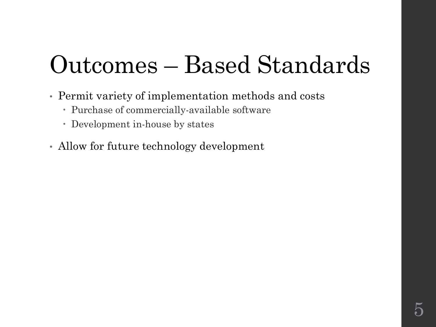# Outcomes – Based Standards

- Permit variety of implementation methods and costs
	- Purchase of commercially-available software
	- Development in-house by states
- Allow for future technology development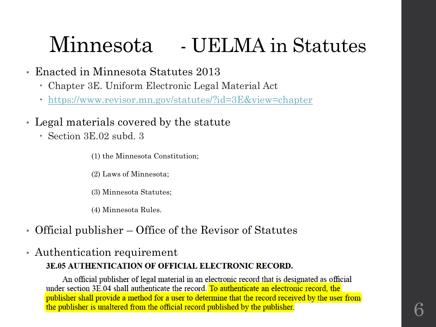#### Minnesota - UELMA in Statutes

- Enacted in Minnesota Statutes 2013
	- Chapter 3E. Uniform Electronic Legal Material Act
	- <https://www.revisor.mn.gov/statutes/?id=3E&view=chapter>
- Legal materials covered by the statute
	- Section 3E.02 subd. 3
		- (1) the Minnesota Constitution;
		- (2) Laws of Minnesota;
		- (3) Minnesota Statutes;
		- (4) Minnesota Rules.
- Official publisher Office of the Revisor of Statutes
- Authentication requirement

#### **3E.05 AUTHENTICATION OF OFFICIAL ELECTRONIC RECORD.**

An official publisher of legal material in an electronic record that is designated as official under section 3E.04 shall authenticate the record. To authenticate an electronic record, the publisher shall provide a method for a user to determine that the record received by the user from the publisher is unaltered from the official record published by the publisher.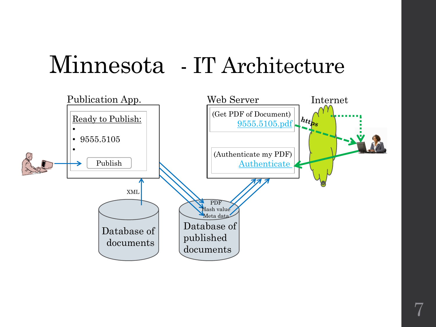### Minnesota - IT Architecture

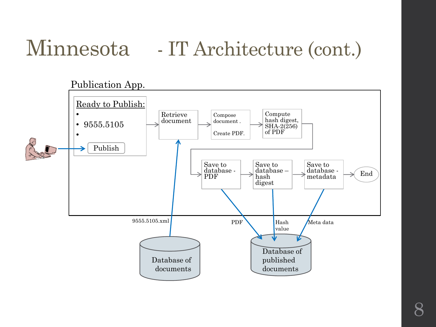### Minnesota - IT Architecture (cont.)

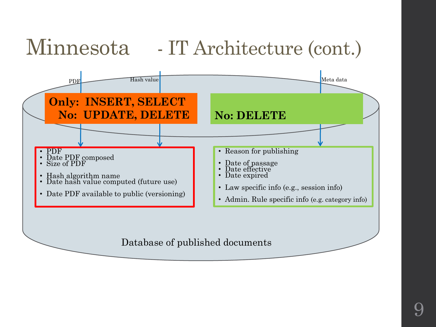### Minnesota - IT Architecture (cont.)



Database of published documents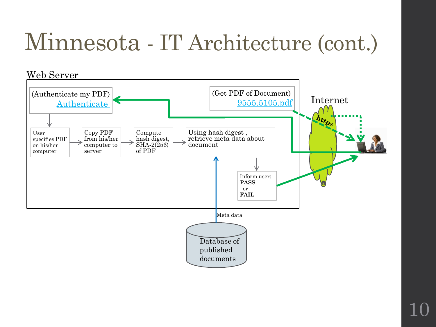# Minnesota - IT Architecture (cont.)

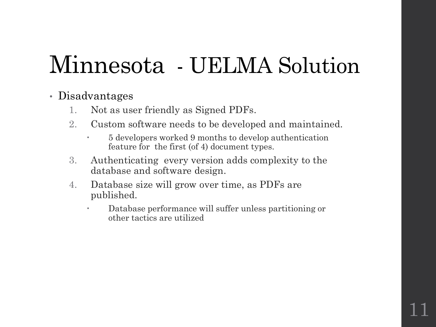# Minnesota - UELMA Solution

#### • Disadvantages

- 1. Not as user friendly as Signed PDFs.
- 2. Custom software needs to be developed and maintained.
	- 5 developers worked 9 months to develop authentication feature for the first (of 4) document types.
- 3. Authenticating every version adds complexity to the database and software design.
- 4. Database size will grow over time, as PDFs are published.
	- Database performance will suffer unless partitioning or other tactics are utilized

11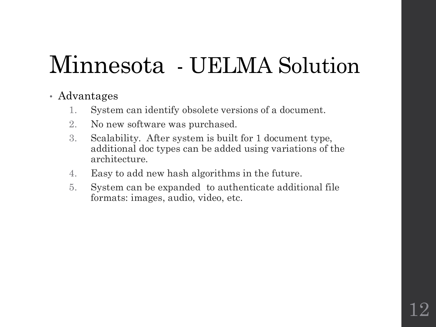# Minnesota - UELMA Solution

#### • Advantages

- 1. System can identify obsolete versions of a document.
- 2. No new software was purchased.
- 3. Scalability. After system is built for 1 document type, additional doc types can be added using variations of the architecture.
- 4. Easy to add new hash algorithms in the future.
- 5. System can be expanded to authenticate additional file formats: images, audio, video, etc.